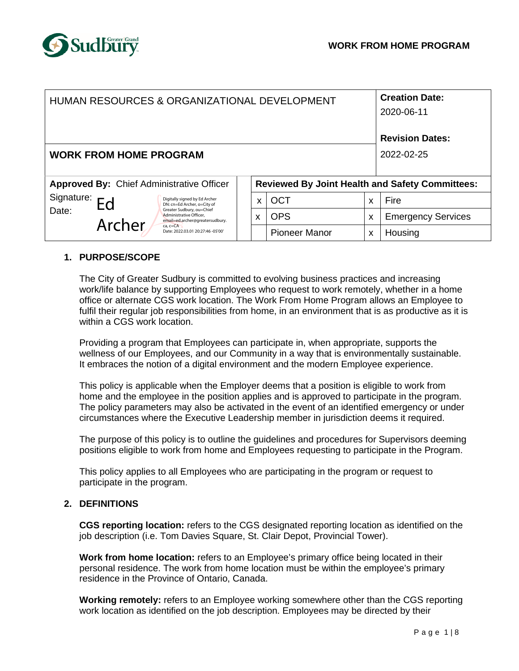

| HUMAN RESOURCES & ORGANIZATIONAL DEVELOPMENT     |              |                                                                                                                                                                                                                 |   |                      |   | <b>Creation Date:</b><br>2020-06-11                    |  |  |
|--------------------------------------------------|--------------|-----------------------------------------------------------------------------------------------------------------------------------------------------------------------------------------------------------------|---|----------------------|---|--------------------------------------------------------|--|--|
|                                                  |              |                                                                                                                                                                                                                 |   |                      |   | <b>Revision Dates:</b>                                 |  |  |
| <b>WORK FROM HOME PROGRAM</b>                    |              |                                                                                                                                                                                                                 |   |                      |   | 2022-02-25                                             |  |  |
| <b>Approved By: Chief Administrative Officer</b> |              |                                                                                                                                                                                                                 |   |                      |   | <b>Reviewed By Joint Health and Safety Committees:</b> |  |  |
| Signature:<br>Date:                              | Ed<br>Archer | Digitally signed by Ed Archer<br>DN: cn=Ed Archer, o=City of<br>Greater Sudbury, ou=Chief<br>Administrative Officer,<br>email=ed.archer@greatersudbury.<br>$ca$ , $c = CA$<br>Date: 2022.03.01 20:27:46 -05'00' | X | <b>OCT</b>           | X | Fire                                                   |  |  |
|                                                  |              |                                                                                                                                                                                                                 | X | <b>OPS</b>           | X | <b>Emergency Services</b>                              |  |  |
|                                                  |              |                                                                                                                                                                                                                 |   | <b>Pioneer Manor</b> | X | Housing                                                |  |  |

# **1. PURPOSE/SCOPE**

The City of Greater Sudbury is committed to evolving business practices and increasing work/life balance by supporting Employees who request to work remotely, whether in a home office or alternate CGS work location. The Work From Home Program allows an Employee to fulfil their regular job responsibilities from home, in an environment that is as productive as it is within a CGS work location.

Providing a program that Employees can participate in, when appropriate, supports the wellness of our Employees, and our Community in a way that is environmentally sustainable. It embraces the notion of a digital environment and the modern Employee experience.

This policy is applicable when the Employer deems that a position is eligible to work from home and the employee in the position applies and is approved to participate in the program. The policy parameters may also be activated in the event of an identified emergency or under circumstances where the Executive Leadership member in jurisdiction deems it required.

The purpose of this policy is to outline the guidelines and procedures for Supervisors deeming positions eligible to work from home and Employees requesting to participate in the Program.

This policy applies to all Employees who are participating in the program or request to participate in the program.

### **2. DEFINITIONS**

**CGS reporting location:** refers to the CGS designated reporting location as identified on the job description (i.e. Tom Davies Square, St. Clair Depot, Provincial Tower).

**Work from home location:** refers to an Employee's primary office being located in their personal residence. The work from home location must be within the employee's primary residence in the Province of Ontario, Canada.

**Working remotely:** refers to an Employee working somewhere other than the CGS reporting work location as identified on the job description. Employees may be directed by their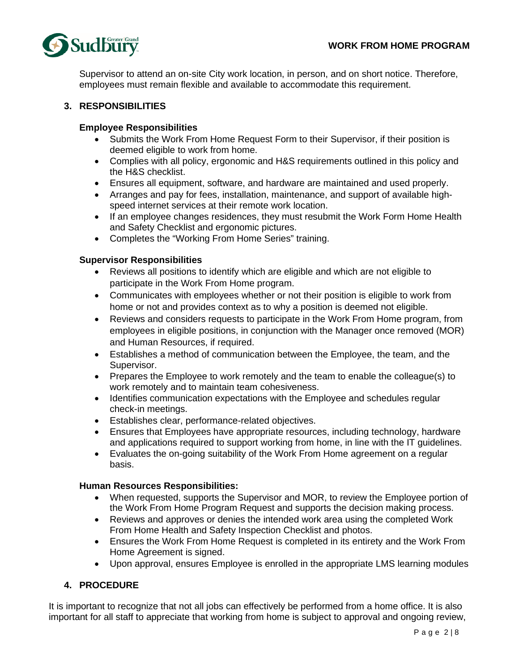

Supervisor to attend an on-site City work location, in person, and on short notice. Therefore, employees must remain flexible and available to accommodate this requirement.

### **3. RESPONSIBILITIES**

### **Employee Responsibilities**

- Submits the Work From Home Request Form to their Supervisor, if their position is deemed eligible to work from home.
- Complies with all policy, ergonomic and H&S requirements outlined in this policy and the H&S checklist.
- Ensures all equipment, software, and hardware are maintained and used properly.
- Arranges and pay for fees, installation, maintenance, and support of available highspeed internet services at their remote work location.
- If an employee changes residences, they must resubmit the Work Form Home Health and Safety Checklist and ergonomic pictures.
- Completes the "Working From Home Series" training.

### **Supervisor Responsibilities**

- Reviews all positions to identify which are eligible and which are not eligible to participate in the Work From Home program.
- Communicates with employees whether or not their position is eligible to work from home or not and provides context as to why a position is deemed not eligible.
- Reviews and considers requests to participate in the Work From Home program, from employees in eligible positions, in conjunction with the Manager once removed (MOR) and Human Resources, if required.
- Establishes a method of communication between the Employee, the team, and the Supervisor.
- Prepares the Employee to work remotely and the team to enable the colleague(s) to work remotely and to maintain team cohesiveness.
- Identifies communication expectations with the Employee and schedules regular check-in meetings.
- Establishes clear, performance-related objectives.
- Ensures that Employees have appropriate resources, including technology, hardware and applications required to support working from home, in line with the IT guidelines.
- Evaluates the on-going suitability of the Work From Home agreement on a regular basis.

### **Human Resources Responsibilities:**

- When requested, supports the Supervisor and MOR, to review the Employee portion of the Work From Home Program Request and supports the decision making process.
- Reviews and approves or denies the intended work area using the completed Work From Home Health and Safety Inspection Checklist and photos.
- Ensures the Work From Home Request is completed in its entirety and the Work From Home Agreement is signed.
- Upon approval, ensures Employee is enrolled in the appropriate LMS learning modules

# **4. PROCEDURE**

It is important to recognize that not all jobs can effectively be performed from a home office. It is also important for all staff to appreciate that working from home is subject to approval and ongoing review,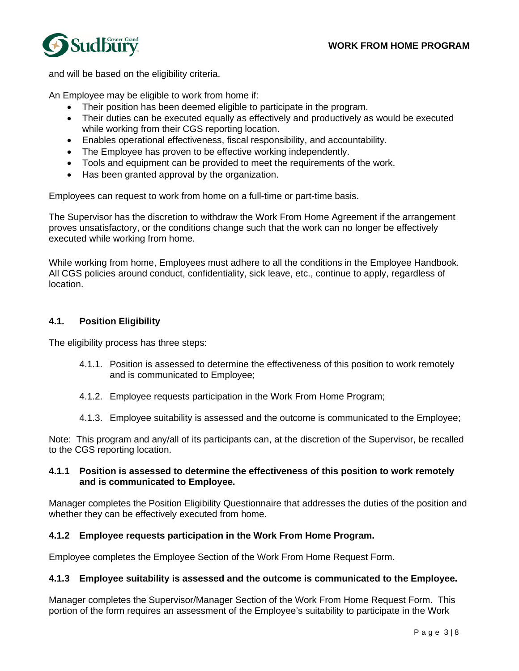

and will be based on the eligibility criteria.

An Employee may be eligible to work from home if:

- Their position has been deemed eligible to participate in the program.
- Their duties can be executed equally as effectively and productively as would be executed while working from their CGS reporting location.
- Enables operational effectiveness, fiscal responsibility, and accountability.
- The Employee has proven to be effective working independently.
- Tools and equipment can be provided to meet the requirements of the work.
- Has been granted approval by the organization.

Employees can request to work from home on a full-time or part-time basis.

The Supervisor has the discretion to withdraw the Work From Home Agreement if the arrangement proves unsatisfactory, or the conditions change such that the work can no longer be effectively executed while working from home.

While working from home, Employees must adhere to all the conditions in the Employee Handbook. All CGS policies around conduct, confidentiality, sick leave, etc., continue to apply, regardless of location.

### **4.1. Position Eligibility**

The eligibility process has three steps:

- 4.1.1. Position is assessed to determine the effectiveness of this position to work remotely and is communicated to Employee;
- 4.1.2. Employee requests participation in the Work From Home Program;
- 4.1.3. Employee suitability is assessed and the outcome is communicated to the Employee;

Note: This program and any/all of its participants can, at the discretion of the Supervisor, be recalled to the CGS reporting location.

### **4.1.1 Position is assessed to determine the effectiveness of this position to work remotely and is communicated to Employee.**

Manager completes the Position Eligibility Questionnaire that addresses the duties of the position and whether they can be effectively executed from home.

### **4.1.2 Employee requests participation in the Work From Home Program.**

Employee completes the Employee Section of the Work From Home Request Form.

### **4.1.3 Employee suitability is assessed and the outcome is communicated to the Employee.**

Manager completes the Supervisor/Manager Section of the Work From Home Request Form. This portion of the form requires an assessment of the Employee's suitability to participate in the Work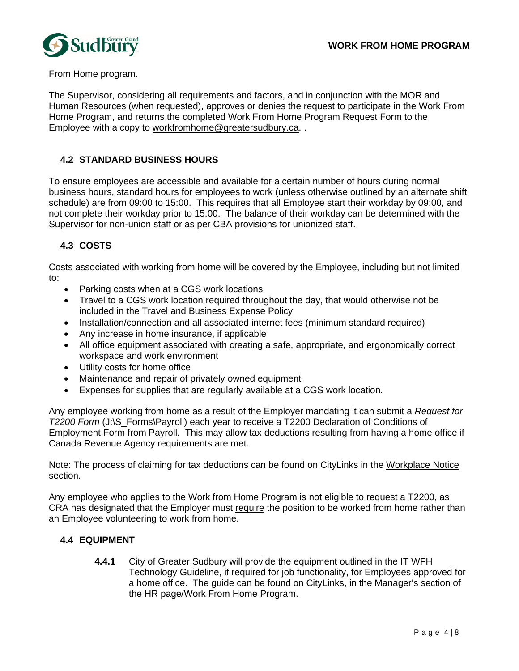

From Home program.

The Supervisor, considering all requirements and factors, and in conjunction with the MOR and Human Resources (when requested), approves or denies the request to participate in the Work From Home Program, and returns the completed Work From Home Program Request Form to the Employee with a copy to workfromhome@greatersudbury.ca. .

# **4.2 STANDARD BUSINESS HOURS**

To ensure employees are accessible and available for a certain number of hours during normal business hours, standard hours for employees to work (unless otherwise outlined by an alternate shift schedule) are from 09:00 to 15:00. This requires that all Employee start their workday by 09:00, and not complete their workday prior to 15:00. The balance of their workday can be determined with the Supervisor for non-union staff or as per CBA provisions for unionized staff.

# **4.3 COSTS**

Costs associated with working from home will be covered by the Employee, including but not limited to:

- Parking costs when at a CGS work locations
- Travel to a CGS work location required throughout the day, that would otherwise not be included in the Travel and Business Expense Policy
- Installation/connection and all associated internet fees (minimum standard required)
- Any increase in home insurance, if applicable
- All office equipment associated with creating a safe, appropriate, and ergonomically correct workspace and work environment
- Utility costs for home office
- Maintenance and repair of privately owned equipment
- Expenses for supplies that are regularly available at a CGS work location.

Any employee working from home as a result of the Employer mandating it can submit a *Request for T2200 Form* (J:\S\_Forms\Payroll) each year to receive a T2200 Declaration of Conditions of Employment Form from Payroll. This may allow tax deductions resulting from having a home office if Canada Revenue Agency requirements are met.

Note: The process of claiming for tax deductions can be found on CityLinks in the Workplace Notice section.

Any employee who applies to the Work from Home Program is not eligible to request a T2200, as CRA has designated that the Employer must require the position to be worked from home rather than an Employee volunteering to work from home.

# **4.4 EQUIPMENT**

**4.4.1** City of Greater Sudbury will provide the equipment outlined in the IT WFH Technology Guideline, if required for job functionality, for Employees approved for a home office. The guide can be found on CityLinks, in the Manager's section of the HR page/Work From Home Program.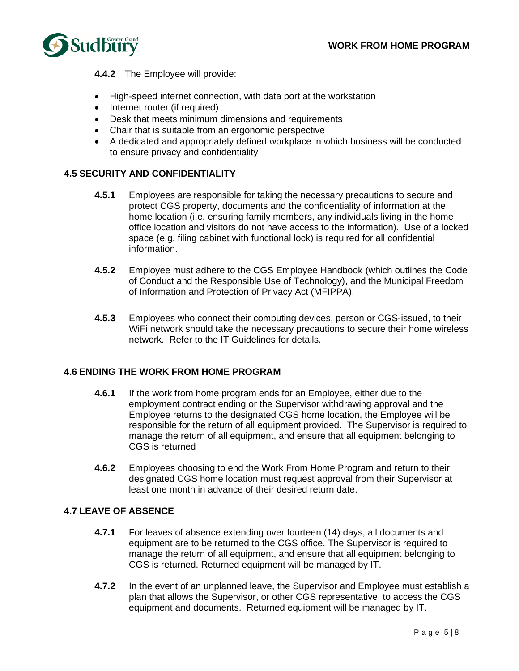

**4.4.2** The Employee will provide:

- High-speed internet connection, with data port at the workstation
- Internet router (if required)
- Desk that meets minimum dimensions and requirements
- Chair that is suitable from an ergonomic perspective
- A dedicated and appropriately defined workplace in which business will be conducted to ensure privacy and confidentiality

# **4.5 SECURITY AND CONFIDENTIALITY**

- **4.5.1** Employees are responsible for taking the necessary precautions to secure and protect CGS property, documents and the confidentiality of information at the home location (i.e. ensuring family members, any individuals living in the home office location and visitors do not have access to the information). Use of a locked space (e.g. filing cabinet with functional lock) is required for all confidential information.
- **4.5.2** Employee must adhere to the CGS Employee Handbook (which outlines the Code of Conduct and the Responsible Use of Technology), and the Municipal Freedom of Information and Protection of Privacy Act (MFIPPA).
- **4.5.3** Employees who connect their computing devices, person or CGS-issued, to their WiFi network should take the necessary precautions to secure their home wireless network. Refer to the IT Guidelines for details.

### **4.6 ENDING THE WORK FROM HOME PROGRAM**

- **4.6.1** If the work from home program ends for an Employee, either due to the employment contract ending or the Supervisor withdrawing approval and the Employee returns to the designated CGS home location, the Employee will be responsible for the return of all equipment provided. The Supervisor is required to manage the return of all equipment, and ensure that all equipment belonging to CGS is returned
- **4.6.2** Employees choosing to end the Work From Home Program and return to their designated CGS home location must request approval from their Supervisor at least one month in advance of their desired return date.

### **4.7 LEAVE OF ABSENCE**

- **4.7.1** For leaves of absence extending over fourteen (14) days, all documents and equipment are to be returned to the CGS office. The Supervisor is required to manage the return of all equipment, and ensure that all equipment belonging to CGS is returned. Returned equipment will be managed by IT.
- **4.7.2** In the event of an unplanned leave, the Supervisor and Employee must establish a plan that allows the Supervisor, or other CGS representative, to access the CGS equipment and documents. Returned equipment will be managed by IT.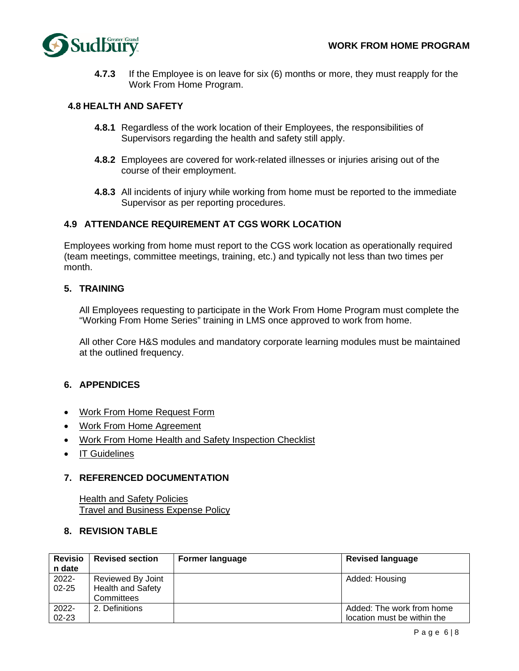

**4.7.3** If the Employee is on leave for six (6) months or more, they must reapply for the Work From Home Program.

### **4.8 HEALTH AND SAFETY**

- **4.8.1** Regardless of the work location of their Employees, the responsibilities of Supervisors regarding the health and safety still apply.
- **4.8.2** Employees are covered for work-related illnesses or injuries arising out of the course of their employment.
- **4.8.3** All incidents of injury while working from home must be reported to the immediate Supervisor as per reporting procedures.

### **4.9 ATTENDANCE REQUIREMENT AT CGS WORK LOCATION**

Employees working from home must report to the CGS work location as operationally required (team meetings, committee meetings, training, etc.) and typically not less than two times per month.

### **5. TRAINING**

All Employees requesting to participate in the Work From Home Program must complete the "Working From Home Series" training in LMS once approved to work from home.

All other Core H&S modules and mandatory corporate learning modules must be maintained at the outlined frequency.

# **6. APPENDICES**

- Work From Home Request Form
- Work From Home Agreement
- Work From Home Health and Safety Inspection Checklist
- IT Guidelines

### **7. REFERENCED DOCUMENTATION**

Health and Safety Policies Travel and Business Expense Policy

### **8. REVISION TABLE**

| <b>Revisio</b> | <b>Revised section</b>   | <b>Former language</b> | <b>Revised language</b>     |
|----------------|--------------------------|------------------------|-----------------------------|
| n date         |                          |                        |                             |
| 2022-          | Reviewed By Joint        |                        | Added: Housing              |
| $02 - 25$      | <b>Health and Safety</b> |                        |                             |
|                | Committees               |                        |                             |
| $2022 -$       | 2. Definitions           |                        | Added: The work from home   |
| $02 - 23$      |                          |                        | location must be within the |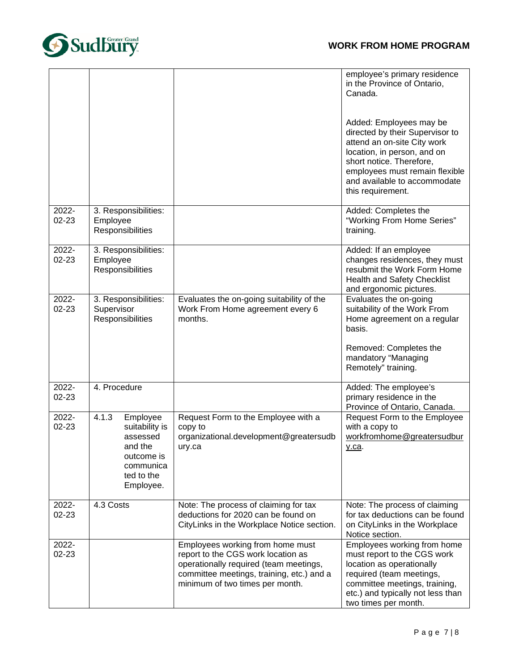# **WORK FROM HOME PROGRAM**



|                    |                                                                                                                  |                                                                                                                                                                                                  | employee's primary residence<br>in the Province of Ontario,<br>Canada.                                                                                                                                                                      |
|--------------------|------------------------------------------------------------------------------------------------------------------|--------------------------------------------------------------------------------------------------------------------------------------------------------------------------------------------------|---------------------------------------------------------------------------------------------------------------------------------------------------------------------------------------------------------------------------------------------|
|                    |                                                                                                                  |                                                                                                                                                                                                  | Added: Employees may be<br>directed by their Supervisor to<br>attend an on-site City work<br>location, in person, and on<br>short notice. Therefore,<br>employees must remain flexible<br>and available to accommodate<br>this requirement. |
| 2022-<br>$02 - 23$ | 3. Responsibilities:<br>Employee<br>Responsibilities                                                             |                                                                                                                                                                                                  | Added: Completes the<br>"Working From Home Series"<br>training.                                                                                                                                                                             |
| 2022-<br>$02 - 23$ | 3. Responsibilities:<br>Employee<br>Responsibilities                                                             |                                                                                                                                                                                                  | Added: If an employee<br>changes residences, they must<br>resubmit the Work Form Home<br>Health and Safety Checklist<br>and ergonomic pictures.                                                                                             |
| 2022-<br>$02 - 23$ | 3. Responsibilities:<br>Supervisor<br>Responsibilities                                                           | Evaluates the on-going suitability of the<br>Work From Home agreement every 6<br>months.                                                                                                         | Evaluates the on-going<br>suitability of the Work From<br>Home agreement on a regular<br>basis.                                                                                                                                             |
|                    |                                                                                                                  |                                                                                                                                                                                                  | Removed: Completes the<br>mandatory "Managing<br>Remotely" training.                                                                                                                                                                        |
| 2022-<br>$02 - 23$ | 4. Procedure                                                                                                     |                                                                                                                                                                                                  | Added: The employee's<br>primary residence in the<br>Province of Ontario, Canada.                                                                                                                                                           |
| 2022-<br>02-23     | 4.1.3<br>Employee<br>suitability is<br>assessed<br>and the<br>outcome is<br>communica<br>ted to the<br>Employee. | Request Form to the Employee with a<br>copy to<br>organizational.development@greatersudb<br>ury.ca                                                                                               | Request Form to the Employee<br>with a copy to<br>workfromhome@greatersudbur<br><u>y.ca</u> .                                                                                                                                               |
| 2022-<br>02-23     | 4.3 Costs                                                                                                        | Note: The process of claiming for tax<br>deductions for 2020 can be found on<br>CityLinks in the Workplace Notice section.                                                                       | Note: The process of claiming<br>for tax deductions can be found<br>on CityLinks in the Workplace<br>Notice section.                                                                                                                        |
| 2022-<br>02-23     |                                                                                                                  | Employees working from home must<br>report to the CGS work location as<br>operationally required (team meetings,<br>committee meetings, training, etc.) and a<br>minimum of two times per month. | Employees working from home<br>must report to the CGS work<br>location as operationally<br>required (team meetings,<br>committee meetings, training,<br>etc.) and typically not less than<br>two times per month.                           |